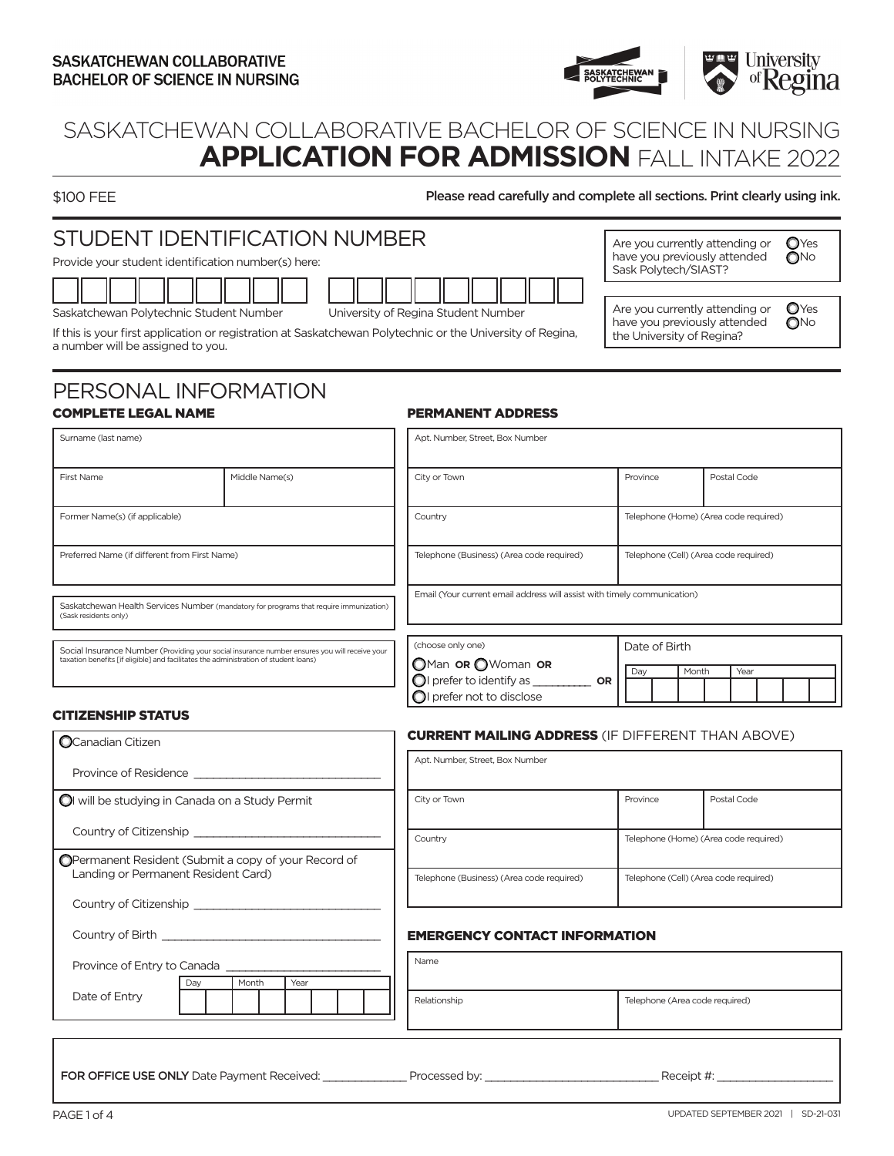

# SASKATCHEWAN COLLABORATIVE BACHELOR OF SCIENCE IN NURSING **APPLICATION FOR ADMISSION** FALL INTAKE 2022

\$100 FEE **Please read carefully and complete all sections. Print clearly using ink.** 

#### STUDENT IDENTIFICATION NUMBER Provide your student identification number(s) here: Saskatchewan Polytechnic Student Number University of Regina Student Number If this is your first application or registration at Saskatchewan Polytechnic or the University of Regina, a number will be assigned to you. Are you currently attending or  $\bigcirc$  Yes have you previously attended  $\bigcirc$ No Sask Polytech/SIAST? Are you currently attending or  $\bigcirc$  Yes have you previously attended  $\bigcirc$ No the University of Regina?

### PERSONAL INFORMATION COMPLETE LEGAL NAME

### PERMANENT ADDRESS

| Surname (last name)                                                                                                                                                                   |                                                                                        | Apt. Number, Street, Box Number                                                                                               |                                       |  |  |  |  |  |
|---------------------------------------------------------------------------------------------------------------------------------------------------------------------------------------|----------------------------------------------------------------------------------------|-------------------------------------------------------------------------------------------------------------------------------|---------------------------------------|--|--|--|--|--|
| First Name                                                                                                                                                                            | Middle Name(s)                                                                         | City or Town                                                                                                                  | Province<br>Postal Code               |  |  |  |  |  |
| Former Name(s) (if applicable)                                                                                                                                                        |                                                                                        | Country                                                                                                                       | Telephone (Home) (Area code required) |  |  |  |  |  |
| Preferred Name (if different from First Name)                                                                                                                                         |                                                                                        | Telephone (Business) (Area code required)                                                                                     | Telephone (Cell) (Area code required) |  |  |  |  |  |
| (Sask residents only)                                                                                                                                                                 | Saskatchewan Health Services Number (mandatory for programs that require immunization) | Email (Your current email address will assist with timely communication)                                                      |                                       |  |  |  |  |  |
| Social Insurance Number (Providing your social insurance number ensures you will receive your<br>taxation benefits [if eligible] and facilitates the administration of student loans) |                                                                                        | (choose only one)<br>OMan OR OWoman OR<br>$\bigcirc$ I prefer to identify as $\_\_$<br><b>OR</b><br>OI prefer not to disclose | Date of Birth<br>Month<br>Year<br>Day |  |  |  |  |  |

### CITIZENSHIP STATUS

| <b>O</b> Canadian Citizen                                                                                                          | <b>CURRENT MAILING ADDRESS (IF DIFFERENT THAN ABOVE)</b> |                                       |  |  |  |  |
|------------------------------------------------------------------------------------------------------------------------------------|----------------------------------------------------------|---------------------------------------|--|--|--|--|
|                                                                                                                                    | Apt. Number, Street, Box Number                          |                                       |  |  |  |  |
| OI will be studying in Canada on a Study Permit                                                                                    | City or Town                                             | Province<br>Postal Code               |  |  |  |  |
|                                                                                                                                    | Country                                                  | Telephone (Home) (Area code required) |  |  |  |  |
| OPermanent Resident (Submit a copy of your Record of<br>Landing or Permanent Resident Card)                                        | Telephone (Business) (Area code required)                | Telephone (Cell) (Area code required) |  |  |  |  |
| Country of Citizenship Country of Citizenship                                                                                      |                                                          |                                       |  |  |  |  |
| Country of Birth the country of Birth the country of Birth the country of Birth the country of Birth the country of $\mathbb{R}^n$ | <b>EMERGENCY CONTACT INFORMATION</b>                     |                                       |  |  |  |  |
| Province of Entry to Canada                                                                                                        | Name                                                     |                                       |  |  |  |  |
| Month<br>Year<br>Day<br>Date of Entry                                                                                              | Relationship                                             | Telephone (Area code required)        |  |  |  |  |
|                                                                                                                                    |                                                          |                                       |  |  |  |  |

FOR OFFICE USE ONLY Date Payment Received: \_\_\_\_\_\_\_\_\_\_\_\_\_ Processed by: \_\_\_\_\_\_\_\_\_\_\_\_\_\_\_\_\_\_\_\_\_\_\_\_\_\_\_ Receipt #: \_\_\_\_\_\_\_\_\_\_\_\_\_\_\_\_\_\_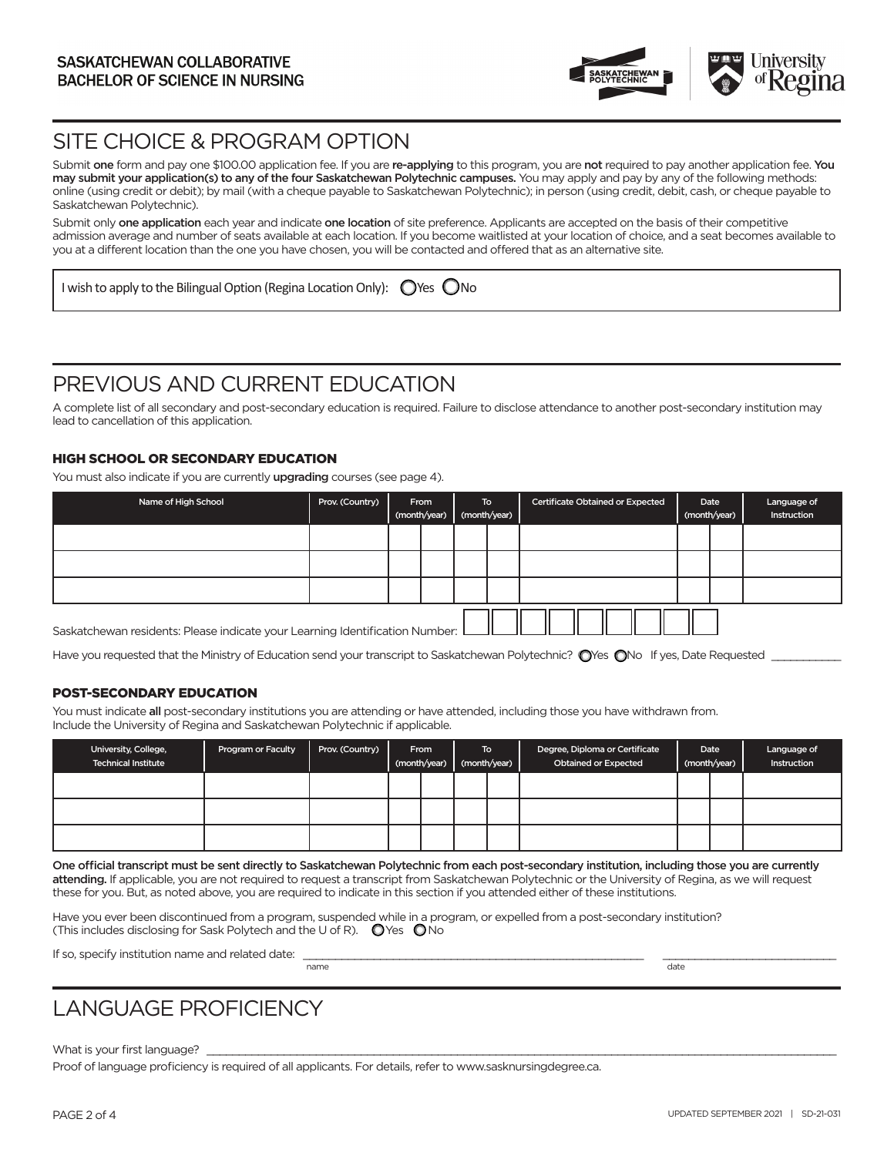

### SITE CHOICE & PROGRAM OPTION

Submit one form and pay one \$100.00 application fee. If you are re-applying to this program, you are not required to pay another application fee. You may submit your application(s) to any of the four Saskatchewan Polytechnic campuses. You may apply and pay by any of the following methods: online (using credit or debit); by mail (with a cheque payable to Saskatchewan Polytechnic); in person (using credit, debit, cash, or cheque payable to Saskatchewan Polytechnic).

Submit only one application each year and indicate one location of site preference. Applicants are accepted on the basis of their competitive admission average and number of seats available at each location. If you become waitlisted at your location of choice, and a seat becomes available to you at a different location than the one you have chosen, you will be contacted and offered that as an alternative site.

I wish to apply to the Bilingual Option (Regina Location Only):  $\bigcirc$  Yes  $\bigcirc$  No

### PREVIOUS AND CURRENT EDUCATION

A complete list of all secondary and post-secondary education is required. Failure to disclose attendance to another post-secondary institution may lead to cancellation of this application.

#### HIGH SCHOOL OR SECONDARY EDUCATION

You must also indicate if you are currently upgrading courses (see page 4).

| Name of High School                                                          | Prov. (Country) |  | From<br>(month/year) |  | To<br>(month/year) | <b>Certificate Obtained or Expected</b> |  | Date<br>(month/year) | Language of<br>Instruction |
|------------------------------------------------------------------------------|-----------------|--|----------------------|--|--------------------|-----------------------------------------|--|----------------------|----------------------------|
|                                                                              |                 |  |                      |  |                    |                                         |  |                      |                            |
|                                                                              |                 |  |                      |  |                    |                                         |  |                      |                            |
|                                                                              |                 |  |                      |  |                    |                                         |  |                      |                            |
| Saskatchewan residents: Please indicate your Learning Identification Number: |                 |  |                      |  |                    |                                         |  |                      |                            |

Have you requested that the Ministry of Education send your transcript to Saskatchewan Polytechnic? O'Yes ONo If yes, Date Requested \_

#### POST-SECONDARY EDUCATION

You must indicate all post-secondary institutions you are attending or have attended, including those you have withdrawn from. Include the University of Regina and Saskatchewan Polytechnic if applicable.

| University, College,<br><b>Technical Institute</b> | <b>Program or Faculty</b> | Prov. (Country) | From<br>(month/year) | To .<br>(month/year) | Degree, Diploma or Certificate<br><b>Obtained or Expected</b> | Date<br>(month/year) | Language of<br>Instruction |
|----------------------------------------------------|---------------------------|-----------------|----------------------|----------------------|---------------------------------------------------------------|----------------------|----------------------------|
|                                                    |                           |                 |                      |                      |                                                               |                      |                            |
|                                                    |                           |                 |                      |                      |                                                               |                      |                            |
|                                                    |                           |                 |                      |                      |                                                               |                      |                            |

One official transcript must be sent directly to Saskatchewan Polytechnic from each post-secondary institution, including those you are currently attending. If applicable, you are not required to request a transcript from Saskatchewan Polytechnic or the University of Regina, as we will request these for you. But, as noted above, you are required to indicate in this section if you attended either of these institutions.

Have you ever been discontinued from a program, suspended while in a program, or expelled from a post-secondary institution? (This includes disclosing for Sask Polytech and the U of R).  $\bigcirc$  Yes  $\bigcirc$  No

If so, specify institution name and related date:  $\frac{1}{n}$ 

name date of the control of the control of the control of the control of the control of the control of the control of the control of the control of the control of the control of the control of the control of the control of

# LANGUAGE PROFICIENCY

What is your first language?

Proof of language proficiency is required of all applicants. For details, refer to www.sasknursingdegree.ca.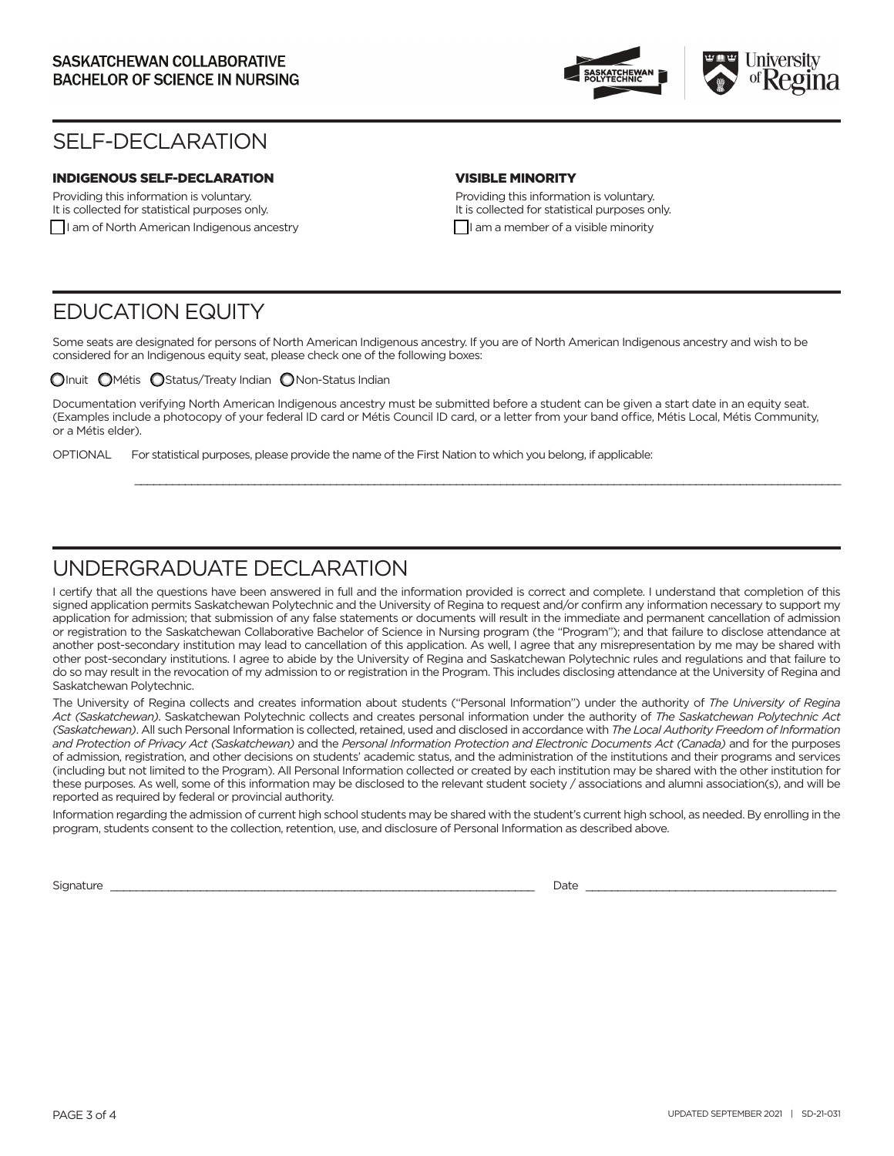

### SELF-DECLARATION

### INDIGENOUS SELF-DECLARATION

Providing this information is voluntary. It is collected for statistical purposes only. I am of North American Indigenous ancestry

### VISIBLE MINORITY

Providing this information is voluntary. It is collected for statistical purposes only.  $\Box$  I am a member of a visible minority

### EDUCATION EQUITY

Some seats are designated for persons of North American Indigenous ancestry. If you are of North American Indigenous ancestry and wish to be considered for an Indigenous equity seat, please check one of the following boxes:

 $\bigcirc$ Inuit  $\bigcirc$ Métis  $\bigcirc$ Status/Treaty Indian  $\bigcirc$ Non-Status Indian

Documentation verifying North American Indigenous ancestry must be submitted before a student can be given a start date in an equity seat. (Examples include a photocopy of your federal ID card or Métis Council ID card, or a letter from your band office, Métis Local, Métis Community, or a Métis elder).

\_\_\_\_\_\_\_\_\_\_\_\_\_\_\_\_\_\_\_\_\_\_\_\_\_\_\_\_\_\_\_\_\_\_\_\_\_\_\_\_\_\_\_\_\_\_\_\_\_\_\_\_\_\_\_\_\_\_\_\_\_\_\_\_\_\_\_\_\_\_\_\_\_\_\_\_\_\_\_\_\_\_\_\_\_\_\_\_\_\_\_\_\_\_\_\_\_\_\_\_\_\_\_\_\_\_\_\_\_\_\_\_

OPTIONAL For statistical purposes, please provide the name of the First Nation to which you belong, if applicable:

### UNDERGRADUATE DECLARATION

I certify that all the questions have been answered in full and the information provided is correct and complete. I understand that completion of this signed application permits Saskatchewan Polytechnic and the University of Regina to request and/or confirm any information necessary to support my application for admission; that submission of any false statements or documents will result in the immediate and permanent cancellation of admission or registration to the Saskatchewan Collaborative Bachelor of Science in Nursing program (the "Program"); and that failure to disclose attendance at another post-secondary institution may lead to cancellation of this application. As well, I agree that any misrepresentation by me may be shared with other post-secondary institutions. I agree to abide by the University of Regina and Saskatchewan Polytechnic rules and regulations and that failure to do so may result in the revocation of my admission to or registration in the Program. This includes disclosing attendance at the University of Regina and Saskatchewan Polytechnic.

The University of Regina collects and creates information about students ("Personal Information") under the authority of *The University of Regina Act (Saskatchewan)*. Saskatchewan Polytechnic collects and creates personal information under the authority of *The Saskatchewan Polytechnic Act (Saskatchewan)*. All such Personal Information is collected, retained, used and disclosed in accordance with *The Local Authority Freedom of Information and Protection of Privacy Act (Saskatchewan)* and the *Personal Information Protection and Electronic Documents Act (Canada)* and for the purposes of admission, registration, and other decisions on students' academic status, and the administration of the institutions and their programs and services (including but not limited to the Program). All Personal Information collected or created by each institution may be shared with the other institution for these purposes. As well, some of this information may be disclosed to the relevant student society / associations and alumni association(s), and will be reported as required by federal or provincial authority.

Information regarding the admission of current high school students may be shared with the student's current high school, as needed. By enrolling in the program, students consent to the collection, retention, use, and disclosure of Personal Information as described above.

Signature \_\_\_\_\_\_\_\_\_\_\_\_\_\_\_\_\_\_\_\_\_\_\_\_\_\_\_\_\_\_\_\_\_\_\_\_\_\_\_\_\_\_\_\_\_\_\_\_\_\_\_\_\_\_\_\_\_\_\_\_\_\_\_\_\_\_ Date \_\_\_\_\_\_\_\_\_\_\_\_\_\_\_\_\_\_\_\_\_\_\_\_\_\_\_\_\_\_\_\_\_\_\_\_\_\_\_